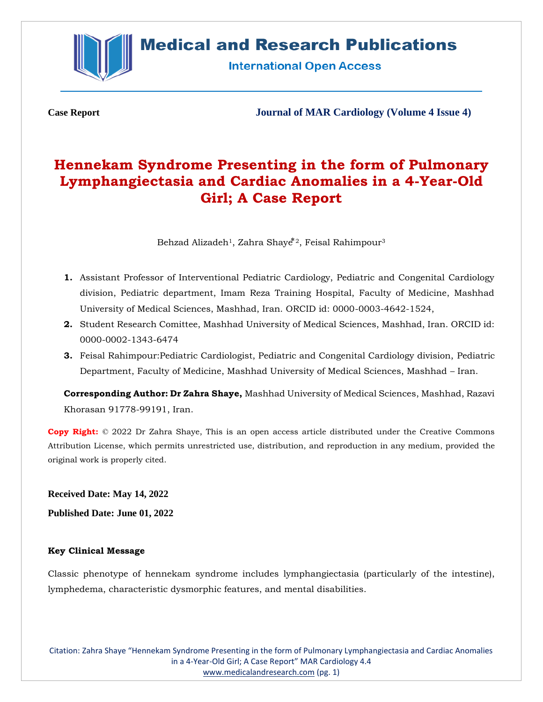

**International Open Access** 

**Case Report Journal of MAR Cardiology (Volume 4 Issue 4)**

# **Hennekam Syndrome Presenting in the form of Pulmonary Lymphangiectasia and Cardiac Anomalies in a 4-Year-Old Girl; A Case Report**

Behzad Alizadeh $^1$ , Zahra Shay $\mathring{\epsilon}$ °2, Feisal Rahimpour $^3$ 

- **1.** Assistant Professor of Interventional Pediatric Cardiology, Pediatric and Congenital Cardiology division, Pediatric department, Imam Reza Training Hospital, Faculty of Medicine, Mashhad University of Medical Sciences, Mashhad, Iran. ORCID id: 0000-0003-4642-1524,
- **2.** Student Research Comittee, Mashhad University of Medical Sciences, Mashhad, Iran. ORCID id: 0000-0002-1343-6474
- **3.** Feisal Rahimpour:Pediatric Cardiologist, Pediatric and Congenital Cardiology division, Pediatric Department, Faculty of Medicine, Mashhad University of Medical Sciences, Mashhad – Iran.

**Corresponding Author: Dr Zahra Shaye,** Mashhad University of Medical Sciences, Mashhad, Razavi Khorasan 91778-99191, Iran.

**Copy Right:** © 2022 Dr Zahra Shaye, This is an open access article distributed under the Creative Commons Attribution License, which permits unrestricted use, distribution, and reproduction in any medium, provided the original work is properly cited.

**Received Date: May 14, 2022**

**Published Date: June 01, 2022**

## **Key Clinical Message**

Classic phenotype of hennekam syndrome includes lymphangiectasia (particularly of the intestine), lymphedema, characteristic dysmorphic features, and mental disabilities.

Citation: Zahra Shaye "Hennekam Syndrome Presenting in the form of Pulmonary Lymphangiectasia and Cardiac Anomalies in a 4-Year-Old Girl; A Case Report" MAR Cardiology 4.4 [www.medicalandresearch.com](http://www.medicalandresearch.com/) (pg. 1)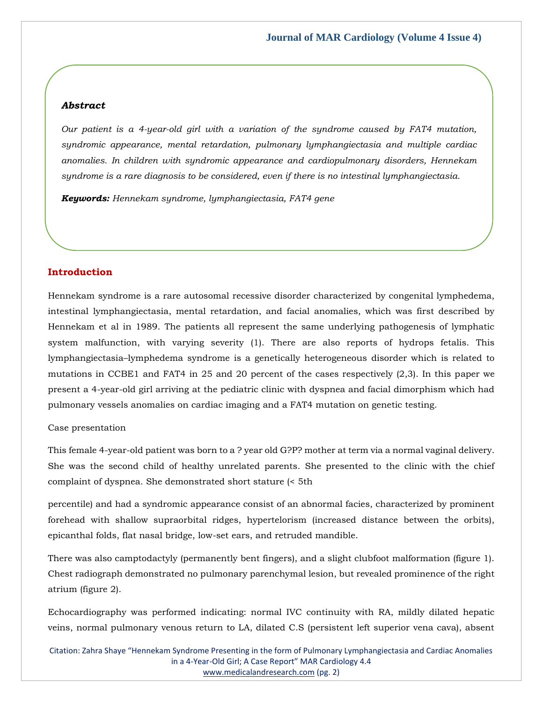#### *Abstract*

*Our patient is a 4-year-old girl with a variation of the syndrome caused by FAT4 mutation, syndromic appearance, mental retardation, pulmonary lymphangiectasia and multiple cardiac anomalies. In children with syndromic appearance and cardiopulmonary disorders, Hennekam syndrome is a rare diagnosis to be considered, even if there is no intestinal lymphangiectasia.*

*Keywords: Hennekam syndrome, lymphangiectasia, FAT4 gene*

## **Introduction**

Hennekam syndrome is a rare autosomal recessive disorder characterized by congenital lymphedema, intestinal lymphangiectasia, mental retardation, and facial anomalies, which was first described by Hennekam et al in 1989. The patients all represent the same underlying pathogenesis of lymphatic system malfunction, with varying severity (1). There are also reports of hydrops fetalis. This lymphangiectasia–lymphedema syndrome is a genetically heterogeneous disorder which is related to mutations in CCBE1 and FAT4 in 25 and 20 percent of the cases respectively (2,3). In this paper we present a 4-year-old girl arriving at the pediatric clinic with dyspnea and facial dimorphism which had pulmonary vessels anomalies on cardiac imaging and a FAT4 mutation on genetic testing.

#### Case presentation

This female 4-year-old patient was born to a ? year old G?P? mother at term via a normal vaginal delivery. She was the second child of healthy unrelated parents. She presented to the clinic with the chief complaint of dyspnea. She demonstrated short stature (< 5th

percentile) and had a syndromic appearance consist of an abnormal facies, characterized by prominent forehead with shallow supraorbital ridges, hypertelorism (increased distance between the orbits), epicanthal folds, flat nasal bridge, low-set ears, and retruded mandible.

There was also camptodactyly (permanently bent fingers), and a slight clubfoot malformation (figure 1). Chest radiograph demonstrated no pulmonary parenchymal lesion, but revealed prominence of the right atrium (figure 2).

Echocardiography was performed indicating: normal IVC continuity with RA, mildly dilated hepatic veins, normal pulmonary venous return to LA, dilated C.S (persistent left superior vena cava), absent

Citation: Zahra Shaye "Hennekam Syndrome Presenting in the form of Pulmonary Lymphangiectasia and Cardiac Anomalies in a 4-Year-Old Girl; A Case Report" MAR Cardiology 4.4 [www.medicalandresearch.com](http://www.medicalandresearch.com/) (pg. 2)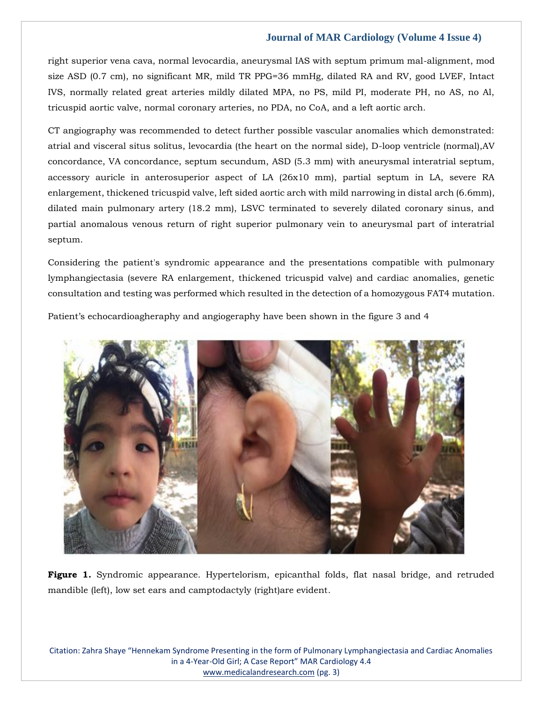right superior vena cava, normal levocardia, aneurysmal IAS with septum primum mal-alignment, mod size ASD (0.7 cm), no significant MR, mild TR PPG=36 mmHg, dilated RA and RV, good LVEF, Intact IVS, normally related great arteries mildly dilated MPA, no PS, mild PI, moderate PH, no AS, no Al, tricuspid aortic valve, normal coronary arteries, no PDA, no CoA, and a left aortic arch.

CT angiography was recommended to detect further possible vascular anomalies which demonstrated: atrial and visceral situs solitus, levocardia (the heart on the normal side), D-loop ventricle (normal),AV concordance, VA concordance, septum secundum, ASD (5.3 mm) with aneurysmal interatrial septum, accessory auricle in anterosuperior aspect of LA (26x10 mm), partial septum in LA, severe RA enlargement, thickened tricuspid valve, left sided aortic arch with mild narrowing in distal arch (6.6mm), dilated main pulmonary artery (18.2 mm), LSVC terminated to severely dilated coronary sinus, and partial anomalous venous return of right superior pulmonary vein to aneurysmal part of interatrial septum.

Considering the patient's syndromic appearance and the presentations compatible with pulmonary lymphangiectasia (severe RA enlargement, thickened tricuspid valve) and cardiac anomalies, genetic consultation and testing was performed which resulted in the detection of a homozygous FAT4 mutation.

Patient's echocardioagheraphy and angiogeraphy have been shown in the figure 3 and 4



**Figure 1.** Syndromic appearance. Hypertelorism, epicanthal folds, flat nasal bridge, and retruded mandible (left), low set ears and camptodactyly (right)are evident.

Citation: Zahra Shaye "Hennekam Syndrome Presenting in the form of Pulmonary Lymphangiectasia and Cardiac Anomalies in a 4-Year-Old Girl; A Case Report" MAR Cardiology 4.4 [www.medicalandresearch.com](http://www.medicalandresearch.com/) (pg. 3)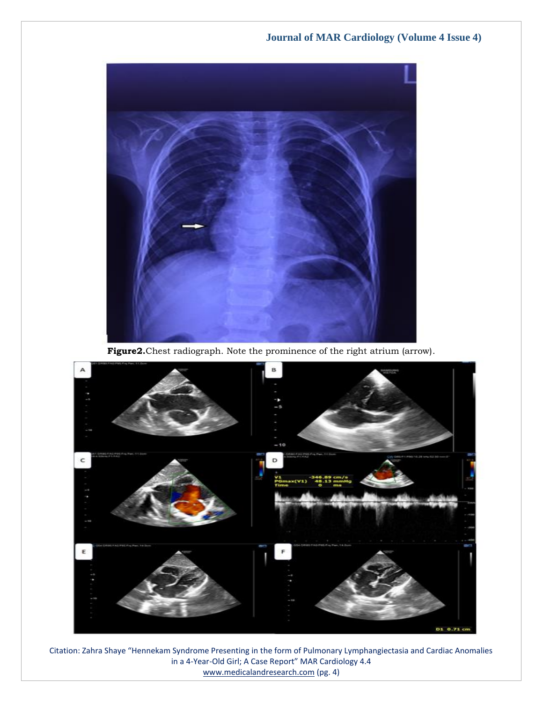

**Figure2.**Chest radiograph. Note the prominence of the right atrium (arrow).



Citation: Zahra Shaye "Hennekam Syndrome Presenting in the form of Pulmonary Lymphangiectasia and Cardiac Anomalies in a 4-Year-Old Girl; A Case Report" MAR Cardiology 4.4 [www.medicalandresearch.com](http://www.medicalandresearch.com/) (pg. 4)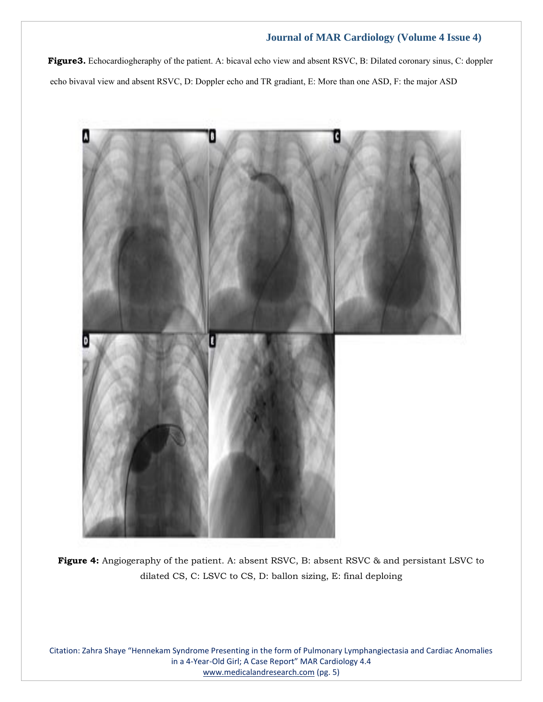**Figure3.** Echocardiogheraphy of the patient. A: bicaval echo view and absent RSVC, B: Dilated coronary sinus, C: doppler echo bivaval view and absent RSVC, D: Doppler echo and TR gradiant, E: More than one ASD, F: the major ASD



**Figure 4:** Angiogeraphy of the patient. A: absent RSVC, B: absent RSVC & and persistant LSVC to dilated CS, C: LSVC to CS, D: ballon sizing, E: final deploing

Citation: Zahra Shaye "Hennekam Syndrome Presenting in the form of Pulmonary Lymphangiectasia and Cardiac Anomalies in a 4-Year-Old Girl; A Case Report" MAR Cardiology 4.4 [www.medicalandresearch.com](http://www.medicalandresearch.com/) (pg. 5)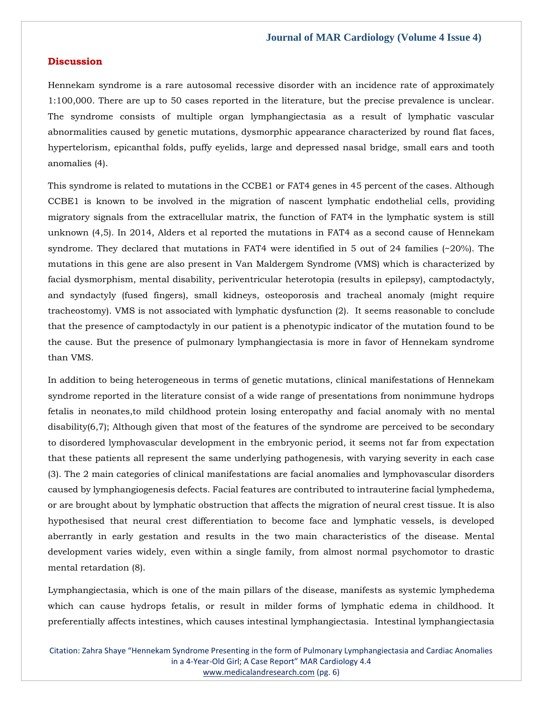## **Discussion**

Hennekam syndrome is a rare autosomal recessive disorder with an incidence rate of approximately 1:100,000. There are up to 50 cases reported in the literature, but the precise prevalence is unclear. The syndrome consists of multiple organ lymphangiectasia as a result of lymphatic vascular abnormalities caused by genetic mutations, dysmorphic appearance characterized by round flat faces, hypertelorism, epicanthal folds, puffy eyelids, large and depressed nasal bridge, small ears and tooth anomalies (4).

This syndrome is related to mutations in the CCBE1 or FAT4 genes in 45 percent of the cases. Although CCBE1 is known to be involved in the migration of nascent lymphatic endothelial cells, providing migratory signals from the extracellular matrix, the function of FAT4 in the lymphatic system is still unknown (4,5). In 2014, Alders et al reported the mutations in FAT4 as a second cause of Hennekam syndrome. They declared that mutations in FAT4 were identified in 5 out of 24 families (~20%). The mutations in this gene are also present in Van Maldergem Syndrome (VMS) which is characterized by facial dysmorphism, mental disability, periventricular heterotopia (results in epilepsy), camptodactyly, and syndactyly (fused fingers), small kidneys, osteoporosis and tracheal anomaly (might require tracheostomy). VMS is not associated with lymphatic dysfunction (2). It seems reasonable to conclude that the presence of camptodactyly in our patient is a phenotypic indicator of the mutation found to be the cause. But the presence of pulmonary lymphangiectasia is more in favor of Hennekam syndrome than VMS.

In addition to being heterogeneous in terms of genetic mutations, clinical manifestations of Hennekam syndrome reported in the literature consist of a wide range of presentations from nonimmune hydrops fetalis in neonates,to mild childhood protein losing enteropathy and facial anomaly with no mental disability(6,7); Although given that most of the features of the syndrome are perceived to be secondary to disordered lymphovascular development in the embryonic period, it seems not far from expectation that these patients all represent the same underlying pathogenesis, with varying severity in each case (3). The 2 main categories of clinical manifestations are facial anomalies and lymphovascular disorders caused by lymphangiogenesis defects. Facial features are contributed to intrauterine facial lymphedema, or are brought about by lymphatic obstruction that affects the migration of neural crest tissue. It is also hypothesised that neural crest differentiation to become face and lymphatic vessels, is developed aberrantly in early gestation and results in the two main characteristics of the disease. Mental development varies widely, even within a single family, from almost normal psychomotor to drastic mental retardation (8).

Lymphangiectasia, which is one of the main pillars of the disease, manifests as systemic lymphedema which can cause hydrops fetalis, or result in milder forms of lymphatic edema in childhood. It preferentially affects intestines, which causes intestinal lymphangiectasia. Intestinal lymphangiectasia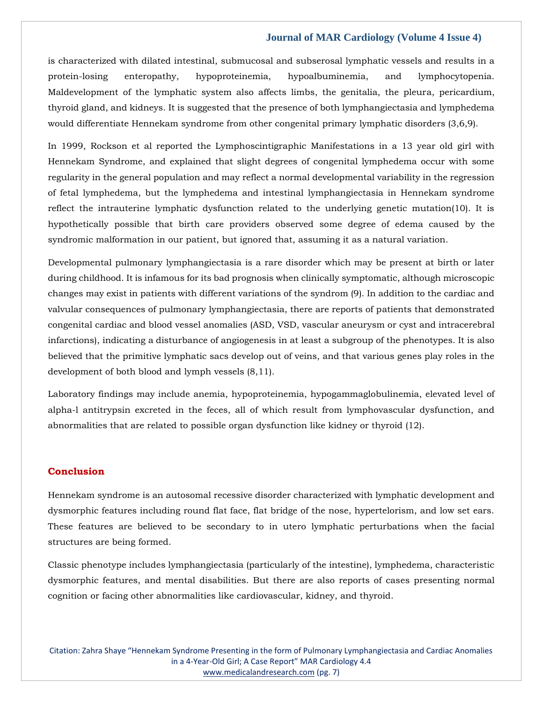is characterized with dilated intestinal, submucosal and subserosal lymphatic vessels and results in a protein-losing enteropathy, hypoproteinemia, hypoalbuminemia, and lymphocytopenia. Maldevelopment of the lymphatic system also affects limbs, the genitalia, the pleura, pericardium, thyroid gland, and kidneys. It is suggested that the presence of both lymphangiectasia and lymphedema would differentiate Hennekam syndrome from other congenital primary lymphatic disorders (3,6,9).

In 1999, Rockson et al reported the Lymphoscintigraphic Manifestations in a 13 year old girl with Hennekam Syndrome, and explained that slight degrees of congenital lymphedema occur with some regularity in the general population and may reflect a normal developmental variability in the regression of fetal lymphedema, but the lymphedema and intestinal lymphangiectasia in Hennekam syndrome reflect the intrauterine lymphatic dysfunction related to the underlying genetic mutation(10). It is hypothetically possible that birth care providers observed some degree of edema caused by the syndromic malformation in our patient, but ignored that, assuming it as a natural variation.

Developmental pulmonary lymphangiectasia is a rare disorder which may be present at birth or later during childhood. It is infamous for its bad prognosis when clinically symptomatic, although microscopic changes may exist in patients with different variations of the syndrom (9). In addition to the cardiac and valvular consequences of pulmonary lymphangiectasia, there are reports of patients that demonstrated congenital cardiac and blood vessel anomalies (ASD, VSD, vascular aneurysm or cyst and intracerebral infarctions), indicating a disturbance of angiogenesis in at least a subgroup of the phenotypes. It is also believed that the primitive lymphatic sacs develop out of veins, and that various genes play roles in the development of both blood and lymph vessels (8,11).

Laboratory findings may include anemia, hypoproteinemia, hypogammaglobulinemia, elevated level of alpha-l antitrypsin excreted in the feces, all of which result from lymphovascular dysfunction, and abnormalities that are related to possible organ dysfunction like kidney or thyroid (12).

## **Conclusion**

Hennekam syndrome is an autosomal recessive disorder characterized with lymphatic development and dysmorphic features including round flat face, flat bridge of the nose, hypertelorism, and low set ears. These features are believed to be secondary to in utero lymphatic perturbations when the facial structures are being formed.

Classic phenotype includes lymphangiectasia (particularly of the intestine), lymphedema, characteristic dysmorphic features, and mental disabilities. But there are also reports of cases presenting normal cognition or facing other abnormalities like cardiovascular, kidney, and thyroid.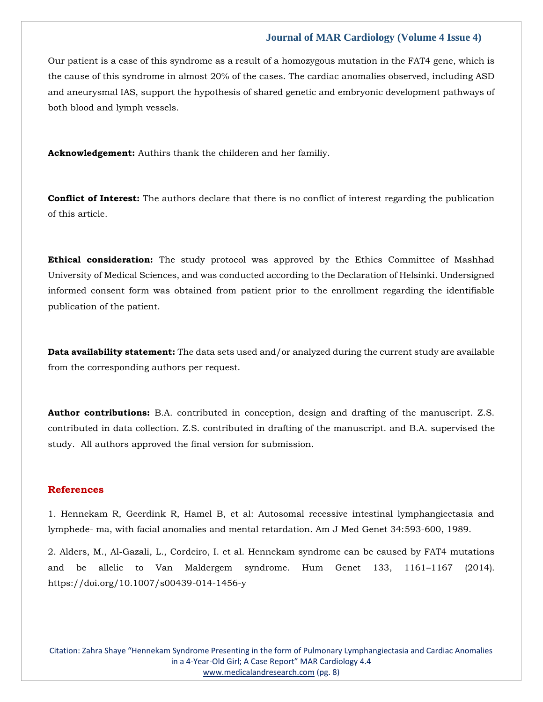Our patient is a case of this syndrome as a result of a homozygous mutation in the FAT4 gene, which is the cause of this syndrome in almost 20% of the cases. The cardiac anomalies observed, including ASD and aneurysmal IAS, support the hypothesis of shared genetic and embryonic development pathways of both blood and lymph vessels.

**Acknowledgement:** Authirs thank the childeren and her familiy.

**Conflict of Interest:** The authors declare that there is no conflict of interest regarding the publication of this article.

**Ethical consideration:** The study protocol was approved by the Ethics Committee of Mashhad University of Medical Sciences, and was conducted according to the Declaration of Helsinki. Undersigned informed consent form was obtained from patient prior to the enrollment regarding the identifiable publication of the patient.

**Data availability statement:** The data sets used and/or analyzed during the current study are available from the corresponding authors per request.

**Author contributions:** B.A. contributed in conception, design and drafting of the manuscript. Z.S. contributed in data collection. Z.S. contributed in drafting of the manuscript. and B.A. supervised the study. All authors approved the final version for submission.

## **References**

1. Hennekam R, Geerdink R, Hamel B, et al: Autosomal recessive intestinal lymphangiectasia and lymphede- ma, with facial anomalies and mental retardation. Am J Med Genet 34:593-600, 1989.

2. Alders, M., Al-Gazali, L., Cordeiro, I. et al. Hennekam syndrome can be caused by FAT4 mutations and be allelic to Van Maldergem syndrome. Hum Genet 133, 1161–1167 (2014). https://doi.org/10.1007/s00439-014-1456-y